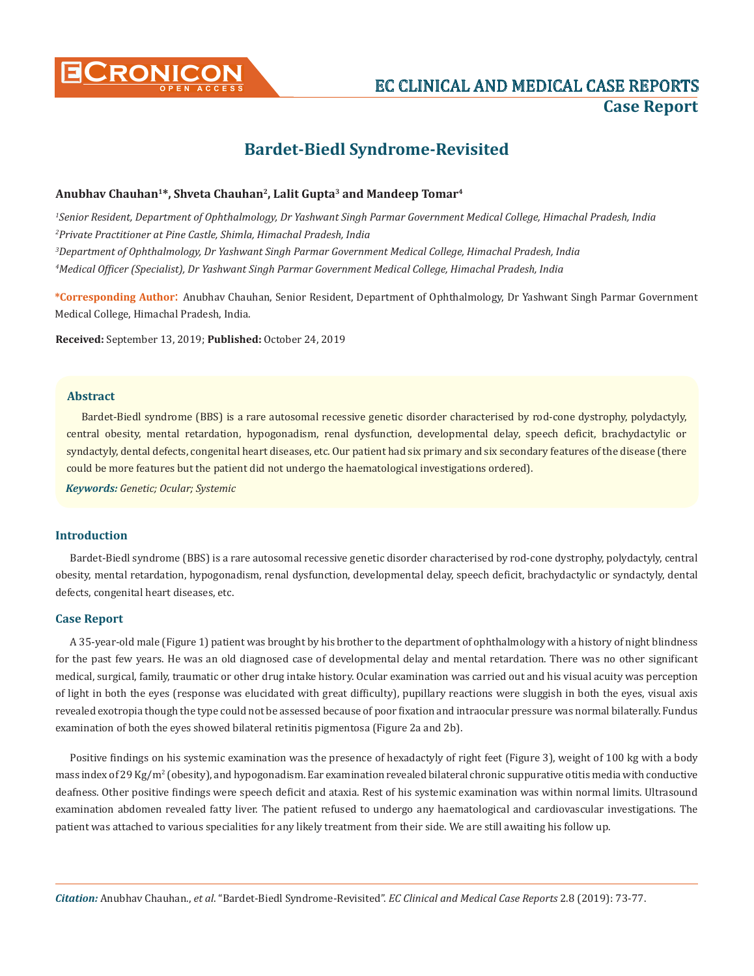

# **CRONICON EC CLINICAL AND MEDICAL CASE REPORTS Case Report**

## **Bardet-Biedl Syndrome-Revisited**

#### **Anubhav Chauhan1\*, Shveta Chauhan2, Lalit Gupta3 and Mandeep Tomar4**

 *Senior Resident, Department of Ophthalmology, Dr Yashwant Singh Parmar Government Medical College, Himachal Pradesh, India Private Practitioner at Pine Castle, Shimla, Himachal Pradesh, India Department of Ophthalmology, Dr Yashwant Singh Parmar Government Medical College, Himachal Pradesh, India Medical Officer (Specialist), Dr Yashwant Singh Parmar Government Medical College, Himachal Pradesh, India*

**\*Corresponding Author**: Anubhav Chauhan, Senior Resident, Department of Ophthalmology, Dr Yashwant Singh Parmar Government Medical College, Himachal Pradesh, India.

**Received:** September 13, 2019; **Published:** October 24, 2019

#### **Abstract**

Bardet-Biedl syndrome (BBS) is a rare autosomal recessive genetic disorder characterised by rod-cone dystrophy, polydactyly, central obesity, mental retardation, hypogonadism, renal dysfunction, developmental delay, speech deficit, brachydactylic or syndactyly, dental defects, congenital heart diseases, etc. Our patient had six primary and six secondary features of the disease (there could be more features but the patient did not undergo the haematological investigations ordered).

*Keywords: Genetic; Ocular; Systemic*

#### **Introduction**

Bardet-Biedl syndrome (BBS) is a rare autosomal recessive genetic disorder characterised by rod-cone dystrophy, polydactyly, central obesity, mental retardation, hypogonadism, renal dysfunction, developmental delay, speech deficit, brachydactylic or syndactyly, dental defects, congenital heart diseases, etc.

#### **Case Report**

A 35-year-old male (Figure 1) patient was brought by his brother to the department of ophthalmology with a history of night blindness for the past few years. He was an old diagnosed case of developmental delay and mental retardation. There was no other significant medical, surgical, family, traumatic or other drug intake history. Ocular examination was carried out and his visual acuity was perception of light in both the eyes (response was elucidated with great difficulty), pupillary reactions were sluggish in both the eyes, visual axis revealed exotropia though the type could not be assessed because of poor fixation and intraocular pressure was normal bilaterally. Fundus examination of both the eyes showed bilateral retinitis pigmentosa (Figure 2a and 2b).

Positive findings on his systemic examination was the presence of hexadactyly of right feet (Figure 3), weight of 100 kg with a body mass index of 29 Kg/m² (obesity), and hypogonadism. Ear examination revealed bilateral chronic suppurative otitis media with conductive deafness. Other positive findings were speech deficit and ataxia. Rest of his systemic examination was within normal limits. Ultrasound examination abdomen revealed fatty liver. The patient refused to undergo any haematological and cardiovascular investigations. The patient was attached to various specialities for any likely treatment from their side. We are still awaiting his follow up.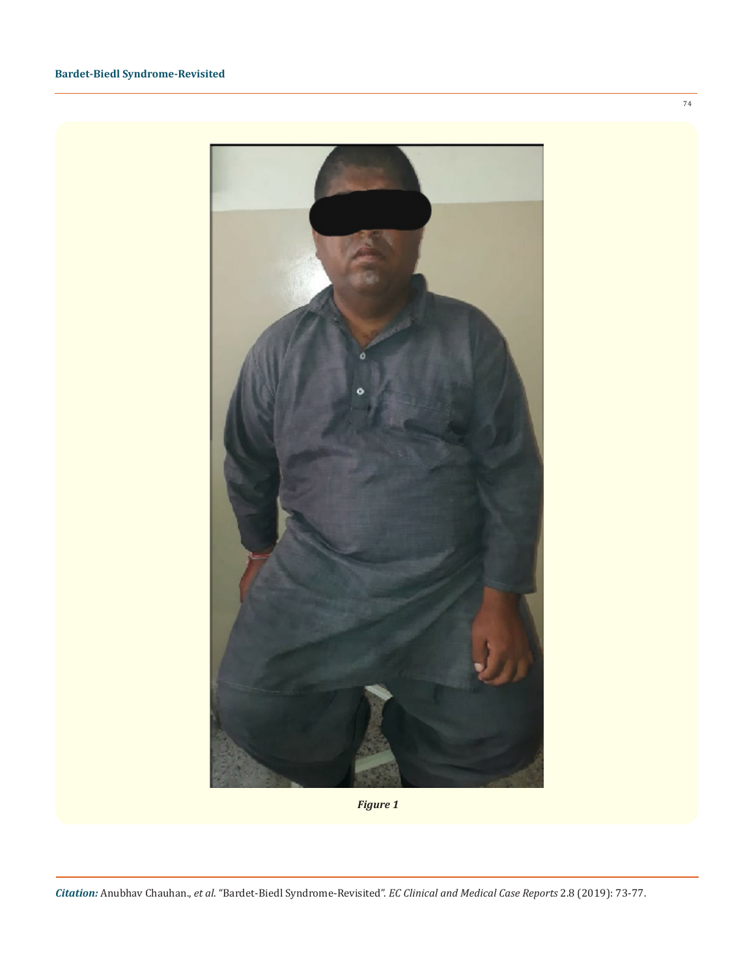

*Figure 1*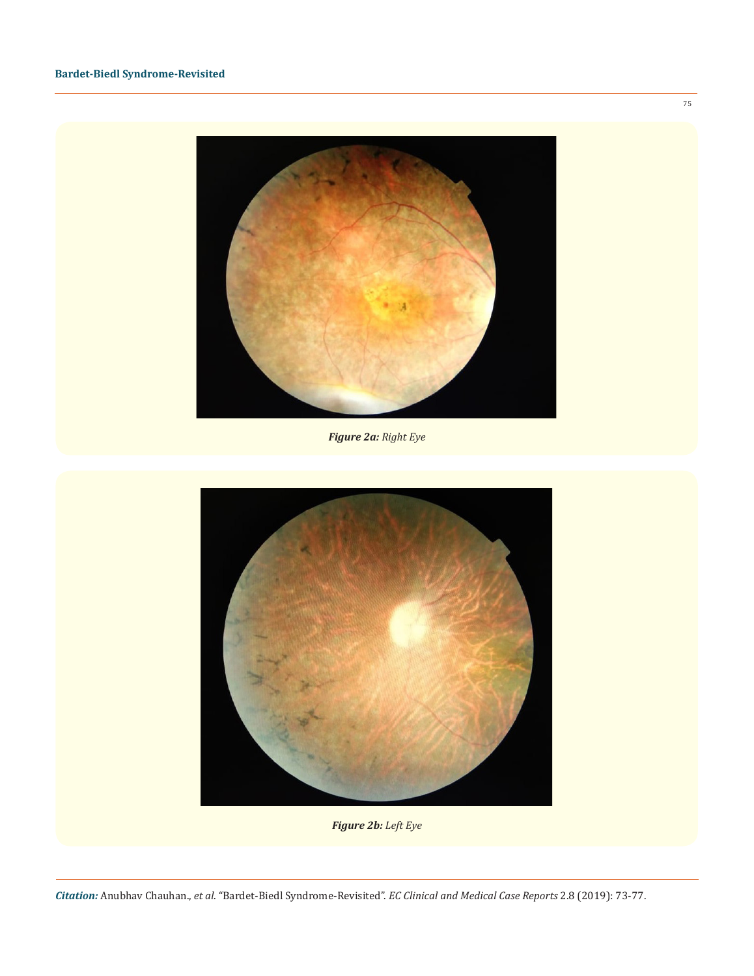

*Figure 2a: Right Eye*



*Figure 2b: Left Eye*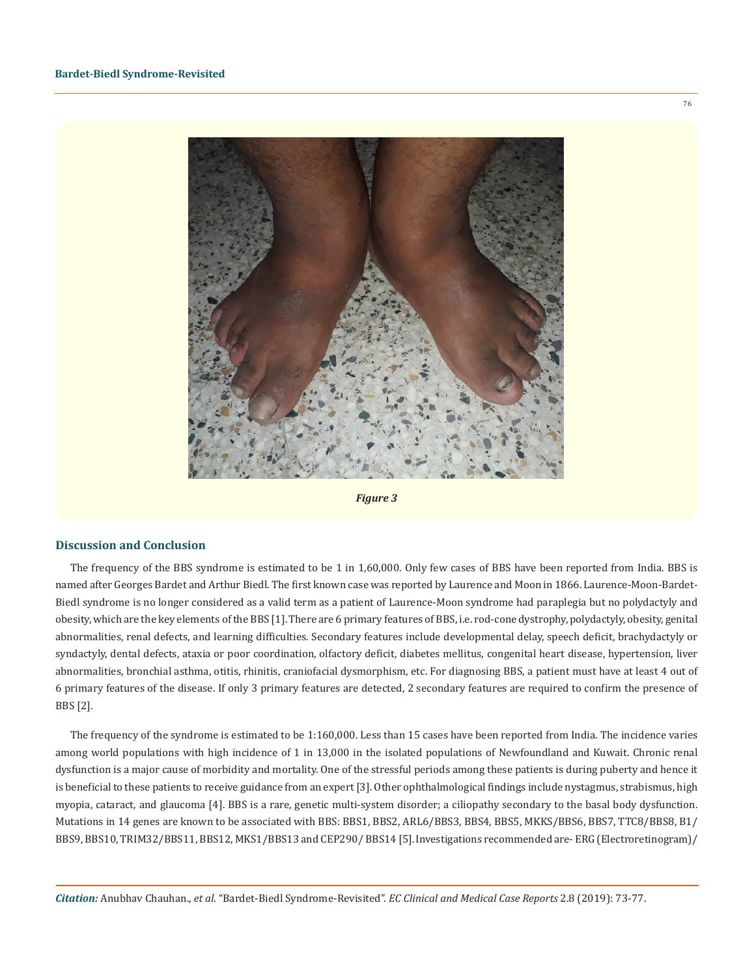

*Figure 3*

#### **Discussion and Conclusion**

The frequency of the BBS syndrome is estimated to be 1 in 1,60,000. Only few cases of BBS have been reported from India. BBS is named after Georges Bardet and Arthur Biedl. The first known case was reported by Laurence and Moon in 1866. Laurence-Moon-Bardet-Biedl syndrome is no longer considered as a valid term as a patient of Laurence-Moon syndrome had paraplegia but no polydactyly and obesity, which are the key elements of the BBS [1].There are 6 primary features of BBS, i.e. rod-cone dystrophy, polydactyly, obesity, genital abnormalities, renal defects, and learning difficulties. Secondary features include developmental delay, speech deficit, brachydactyly or syndactyly, dental defects, ataxia or poor coordination, olfactory deficit, diabetes mellitus, congenital heart disease, hypertension, liver abnormalities, bronchial asthma, otitis, rhinitis, craniofacial dysmorphism, etc. For diagnosing BBS, a patient must have at least 4 out of 6 primary features of the disease. If only 3 primary features are detected, 2 secondary features are required to confirm the presence of BBS [2].

The frequency of the syndrome is estimated to be 1:160,000. Less than 15 cases have been reported from India. The incidence varies among world populations with high incidence of 1 in 13,000 in the isolated populations of Newfoundland and Kuwait. Chronic renal dysfunction is a major cause of morbidity and mortality. One of the stressful periods among these patients is during puberty and hence it is beneficial to these patients to receive guidance from an expert [3]. Other ophthalmological findings include nystagmus, strabismus, high myopia, cataract, and glaucoma [4]. BBS is a rare, genetic multi-system disorder; a ciliopathy secondary to the basal body dysfunction. Mutations in 14 genes are known to be associated with BBS: BBS1, BBS2, ARL6/BBS3, BBS4, BBS5, MKKS/BBS6, BBS7, TTC8/BBS8, B1/ BBS9, BBS10, TRIM32/BBS11, BBS12, MKS1/BBS13 and CEP290/ BBS14 [5].Investigations recommended are- ERG (Electroretinogram)/

76